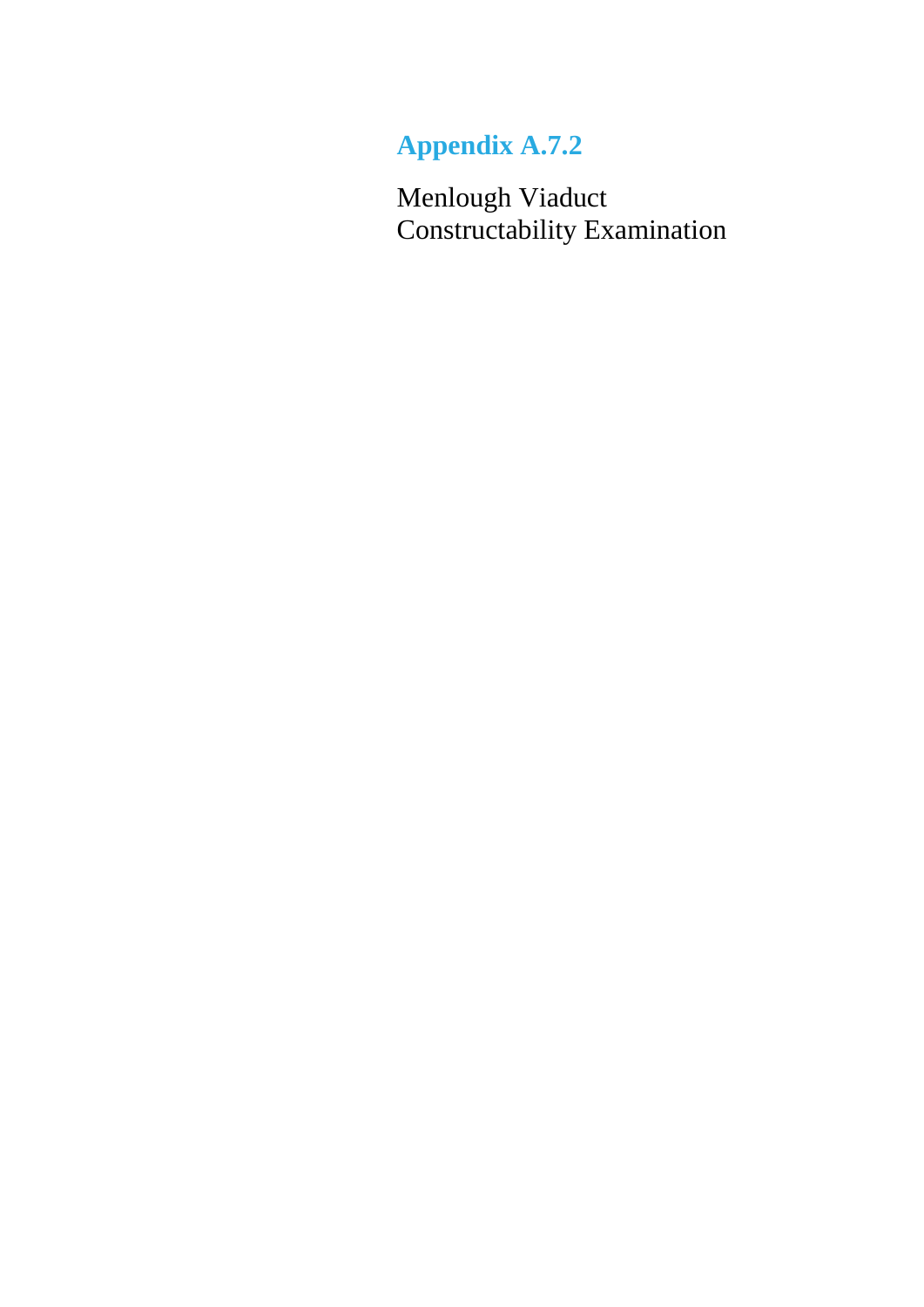# **Appendix A.7.2**

Menlough Viaduct Constructability Examination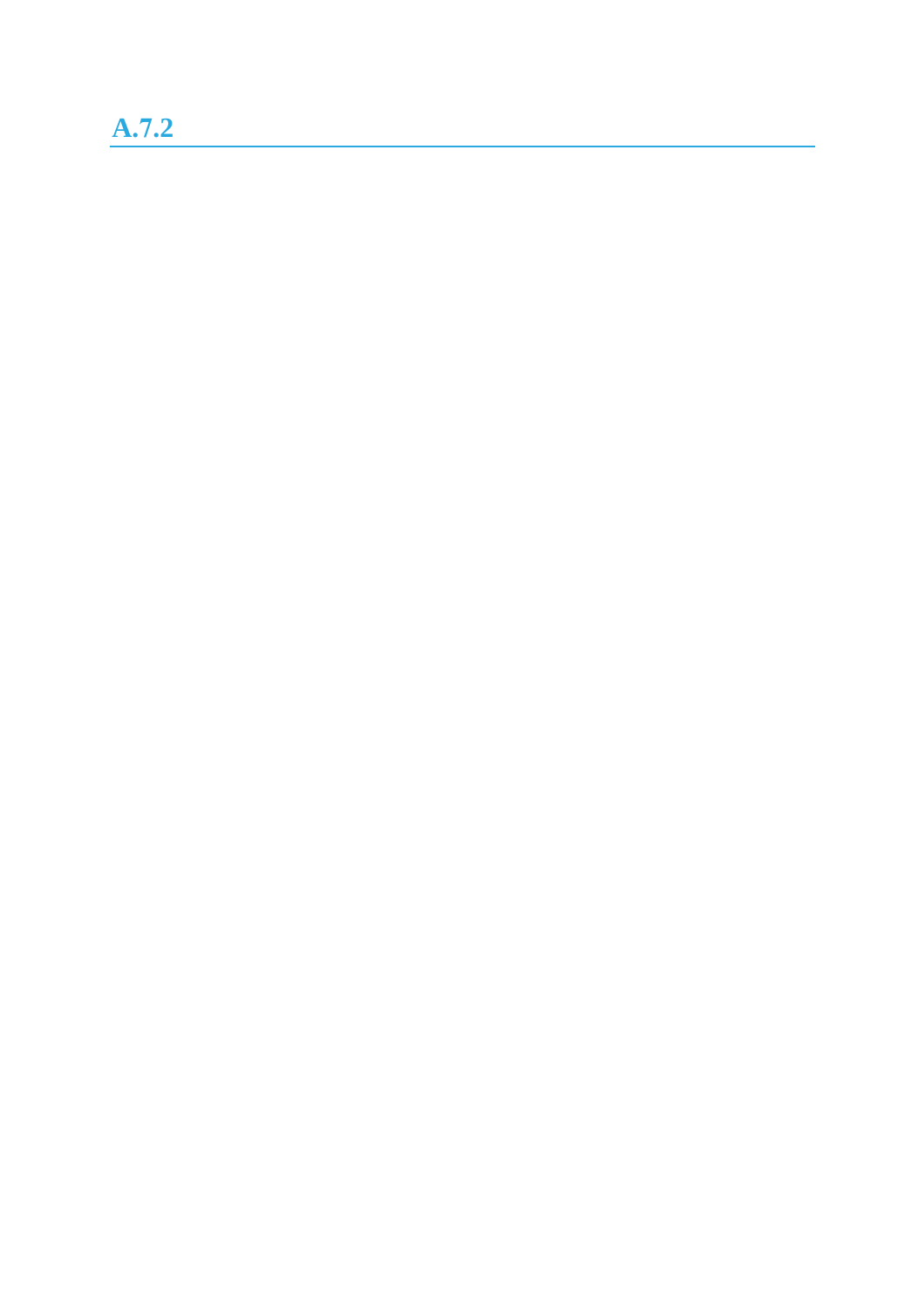# **A.7.2**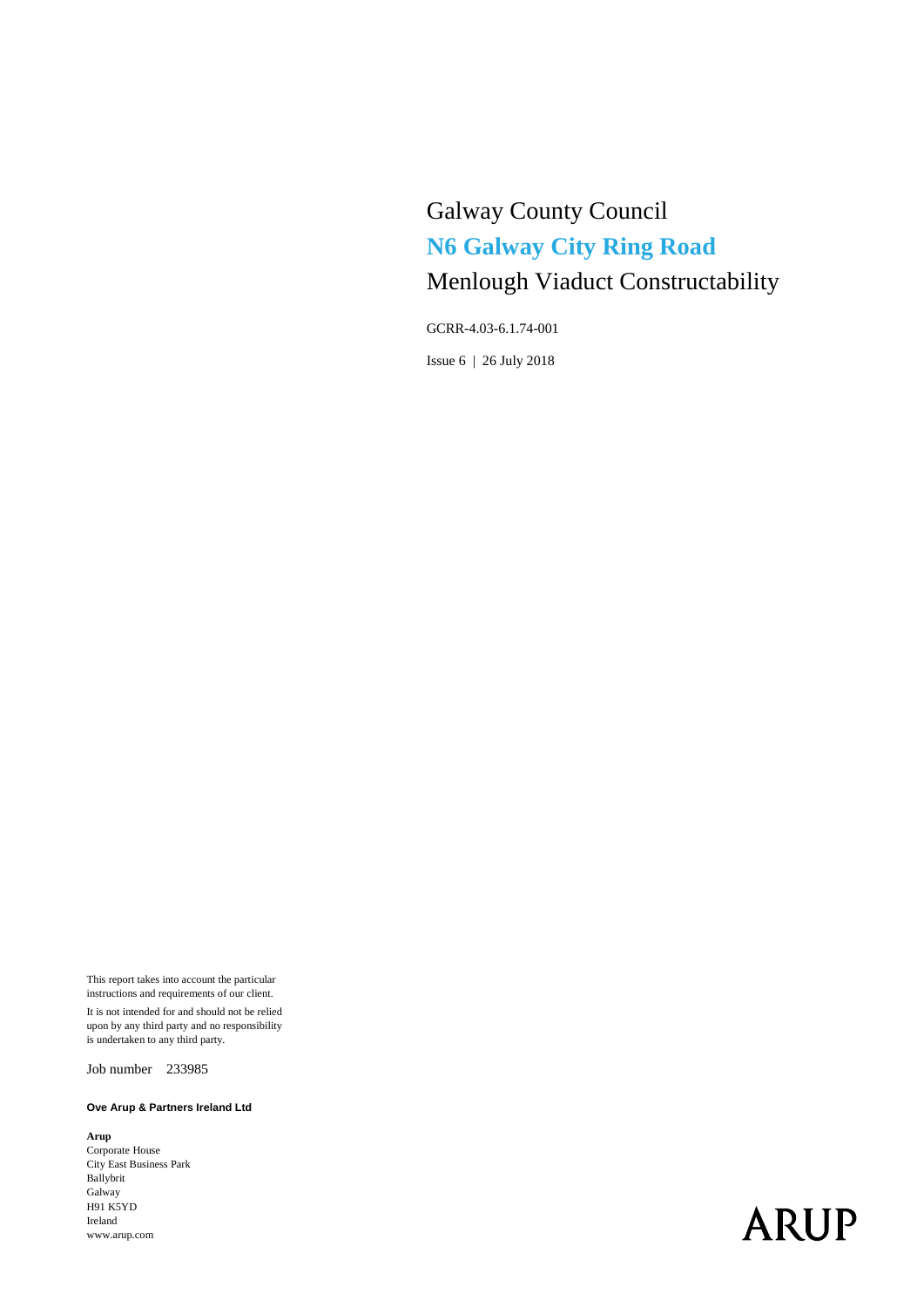# Galway County Council **N6 Galway City Ring Road** Menlough Viaduct Constructability

GCRR-4.03-6.1.74-001

Issue 6 | 26 July 2018

This report takes into account the particular instructions and requirements of our client.

It is not intended for and should not be relied upon by any third party and no responsibility is undertaken to any third party.

Job number 233985

#### **Ove Arup & Partners Ireland Ltd**

**Arup** Corporate House City East Business Park Ballybrit Galway H91 K5YD Ireland www.arup.com

# **ARUP**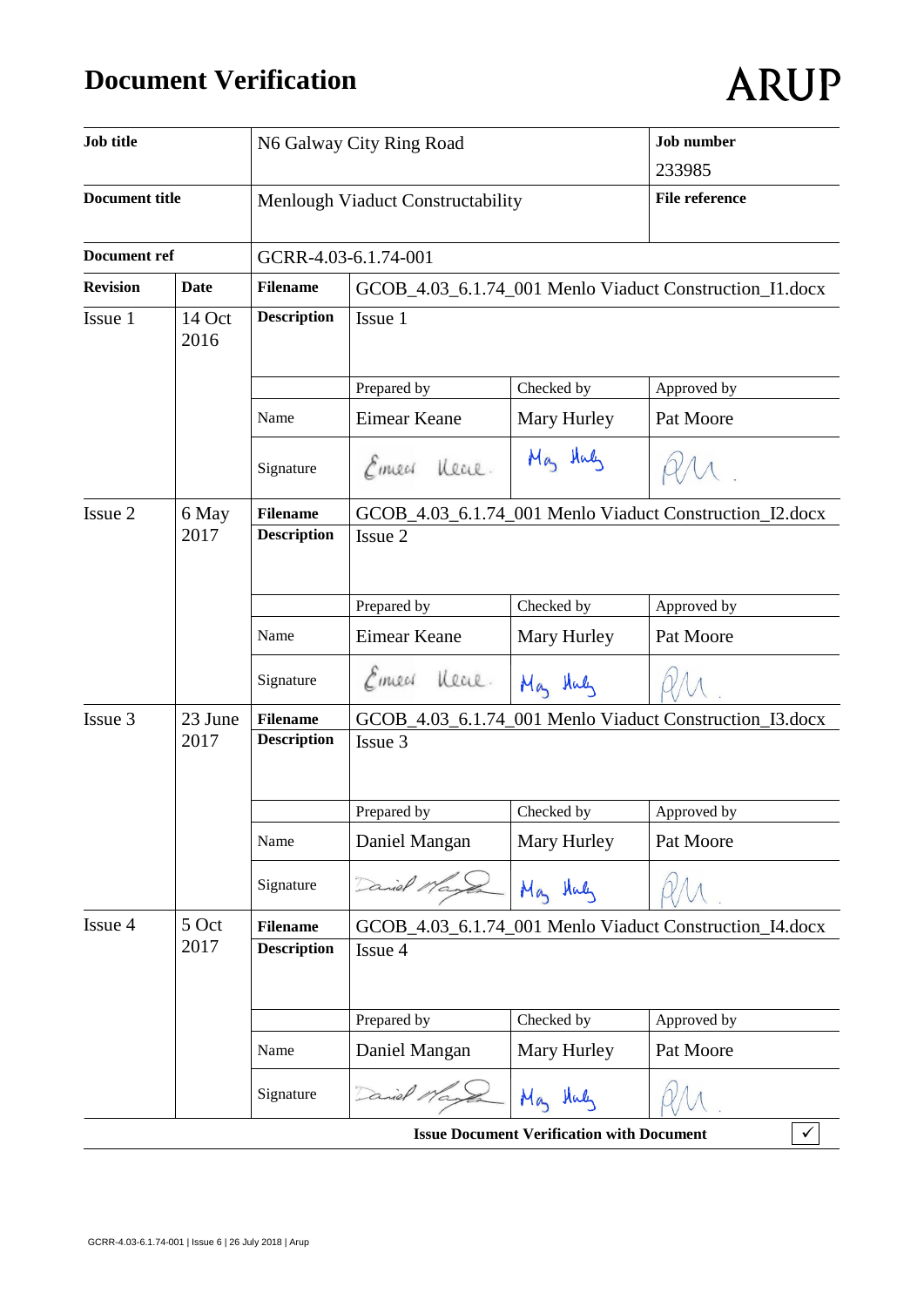# **Document Verification**

| ARUP |  |
|------|--|
|      |  |

| <b>Job title</b>                      |                |                                   | N6 Galway City Ring Road                                |                                                  | <b>Job</b> number                                       |  |
|---------------------------------------|----------------|-----------------------------------|---------------------------------------------------------|--------------------------------------------------|---------------------------------------------------------|--|
|                                       |                |                                   |                                                         |                                                  | 233985                                                  |  |
| <b>Document title</b><br>Document ref |                | Menlough Viaduct Constructability |                                                         |                                                  | <b>File reference</b>                                   |  |
|                                       |                | GCRR-4.03-6.1.74-001              |                                                         |                                                  |                                                         |  |
| <b>Revision</b>                       | <b>Date</b>    | <b>Filename</b>                   |                                                         |                                                  | GCOB_4.03_6.1.74_001 Menlo Viaduct Construction_I1.docx |  |
| Issue 1                               | 14 Oct<br>2016 | <b>Description</b>                | Issue 1                                                 |                                                  |                                                         |  |
|                                       |                |                                   | Prepared by                                             | Checked by                                       | Approved by                                             |  |
|                                       |                | Name                              | Eimear Keane                                            | Mary Hurley                                      | Pat Moore                                               |  |
|                                       |                | Signature                         | Emecs Near.                                             | May Huly                                         |                                                         |  |
| Issue 2<br>6 May                      |                | <b>Filename</b>                   | GCOB_4.03_6.1.74_001 Menlo Viaduct Construction_I2.docx |                                                  |                                                         |  |
|                                       | 2017           | <b>Description</b>                | Issue 2                                                 |                                                  |                                                         |  |
|                                       |                |                                   |                                                         |                                                  |                                                         |  |
|                                       |                |                                   | Prepared by                                             | Checked by                                       | Approved by                                             |  |
|                                       |                | Name                              | Eimear Keane                                            | Mary Hurley                                      | Pat Moore                                               |  |
|                                       |                | Signature                         | Eineer<br>Heal.                                         | May Huly                                         |                                                         |  |
| Issue 3                               | 23 June        | <b>Filename</b>                   |                                                         |                                                  | GCOB_4.03_6.1.74_001 Menlo Viaduct Construction_I3.docx |  |
|                                       | 2017           | <b>Description</b>                | Issue 3                                                 |                                                  |                                                         |  |
|                                       |                |                                   | Prepared by                                             | Checked by                                       | Approved by                                             |  |
|                                       |                | Name                              | Daniel Mangan                                           | Mary Hurley                                      | Pat Moore                                               |  |
|                                       |                | Signature                         |                                                         | May Huly                                         |                                                         |  |
| Issue 4                               | 5 Oct          | <b>Filename</b>                   | GCOB_4.03_6.1.74_001 Menlo Viaduct Construction_I4.docx |                                                  |                                                         |  |
|                                       | 2017           | <b>Description</b>                | Issue 4                                                 |                                                  |                                                         |  |
|                                       |                |                                   | Prepared by                                             | Checked by                                       | Approved by                                             |  |
|                                       |                | Name                              | Daniel Mangan                                           | Mary Hurley                                      | Pat Moore                                               |  |
|                                       |                | Signature                         | Daniel 1                                                | May Huly                                         |                                                         |  |
|                                       |                |                                   |                                                         | <b>Issue Document Verification with Document</b> |                                                         |  |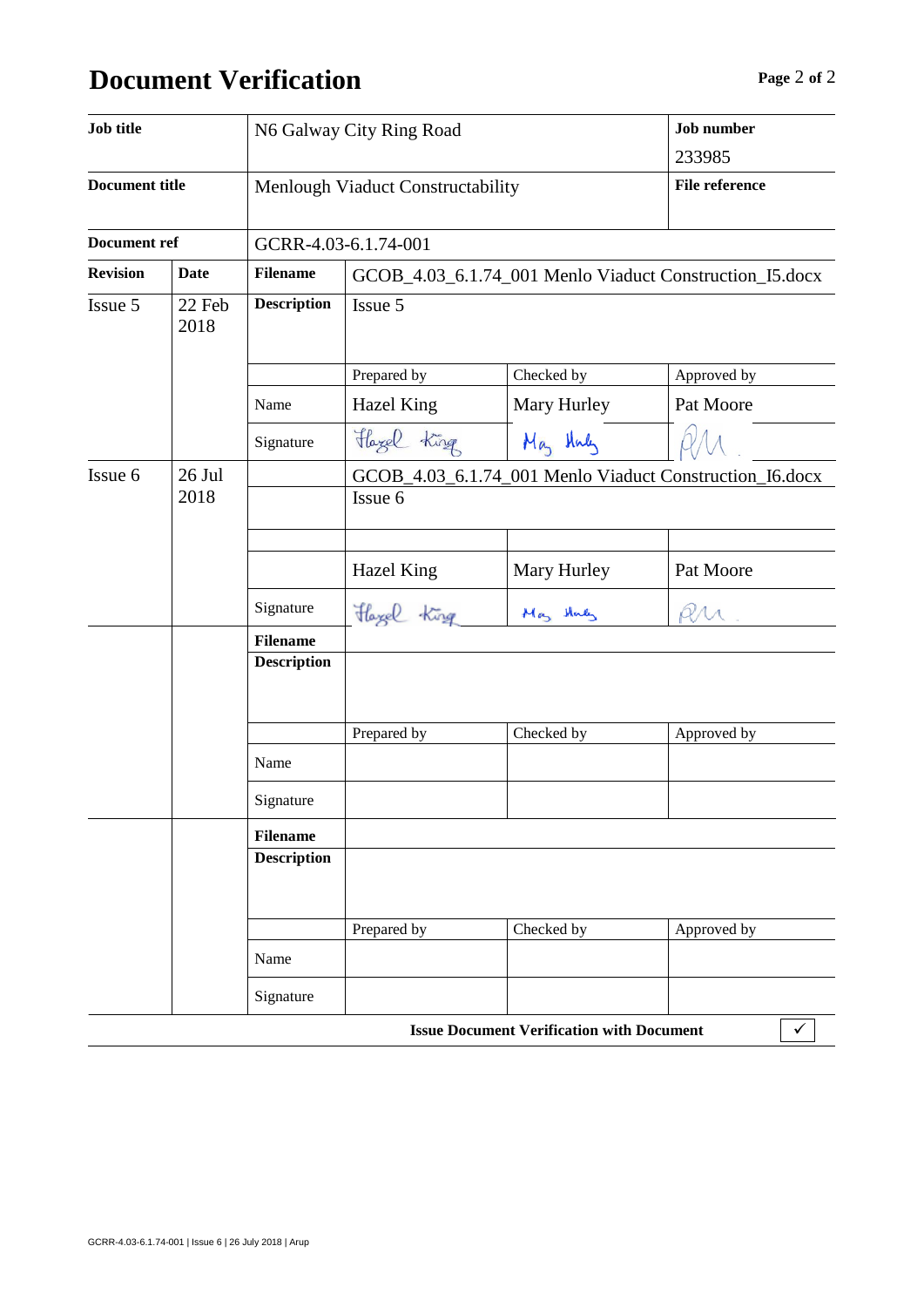# **Document Verification Page** 2 of 2

| Job title             |                | N6 Galway City Ring Road          |                                                                    | <b>Job</b> number                                |                                                         |  |
|-----------------------|----------------|-----------------------------------|--------------------------------------------------------------------|--------------------------------------------------|---------------------------------------------------------|--|
|                       |                |                                   |                                                                    |                                                  | 233985                                                  |  |
| <b>Document title</b> |                | Menlough Viaduct Constructability |                                                                    |                                                  | <b>File reference</b>                                   |  |
| <b>Document ref</b>   |                | GCRR-4.03-6.1.74-001              |                                                                    |                                                  |                                                         |  |
| <b>Revision</b>       | <b>Date</b>    | <b>Filename</b>                   |                                                                    |                                                  | GCOB_4.03_6.1.74_001 Menlo Viaduct Construction_I5.docx |  |
| Issue 5               | 22 Feb<br>2018 | <b>Description</b>                | Issue 5                                                            |                                                  |                                                         |  |
|                       |                |                                   | Prepared by                                                        | Checked by                                       | Approved by                                             |  |
|                       |                | Name                              | Hazel King                                                         | Mary Hurley                                      | Pat Moore                                               |  |
|                       |                | Signature                         | Hazel King                                                         | May Huly                                         |                                                         |  |
| Issue 6               | 26 Jul<br>2018 |                                   | GCOB_4.03_6.1.74_001 Menlo Viaduct Construction_I6.docx<br>Issue 6 |                                                  |                                                         |  |
|                       |                |                                   | <b>Hazel King</b>                                                  | Mary Hurley                                      | Pat Moore                                               |  |
|                       |                | Signature                         | Hazel King                                                         | May they                                         |                                                         |  |
|                       |                | <b>Filename</b>                   |                                                                    |                                                  |                                                         |  |
|                       |                | <b>Description</b>                |                                                                    |                                                  |                                                         |  |
|                       |                |                                   | Prepared by                                                        | Checked by                                       | Approved by                                             |  |
|                       |                | Name                              |                                                                    |                                                  |                                                         |  |
|                       |                | Signature                         |                                                                    |                                                  |                                                         |  |
|                       |                | <b>Filename</b>                   |                                                                    |                                                  |                                                         |  |
|                       |                | <b>Description</b>                |                                                                    |                                                  |                                                         |  |
|                       |                |                                   | Prepared by                                                        | Checked by                                       | Approved by                                             |  |
|                       |                | Name                              |                                                                    |                                                  |                                                         |  |
|                       |                | Signature                         |                                                                    |                                                  |                                                         |  |
|                       |                |                                   |                                                                    | <b>Issue Document Verification with Document</b> | ✓                                                       |  |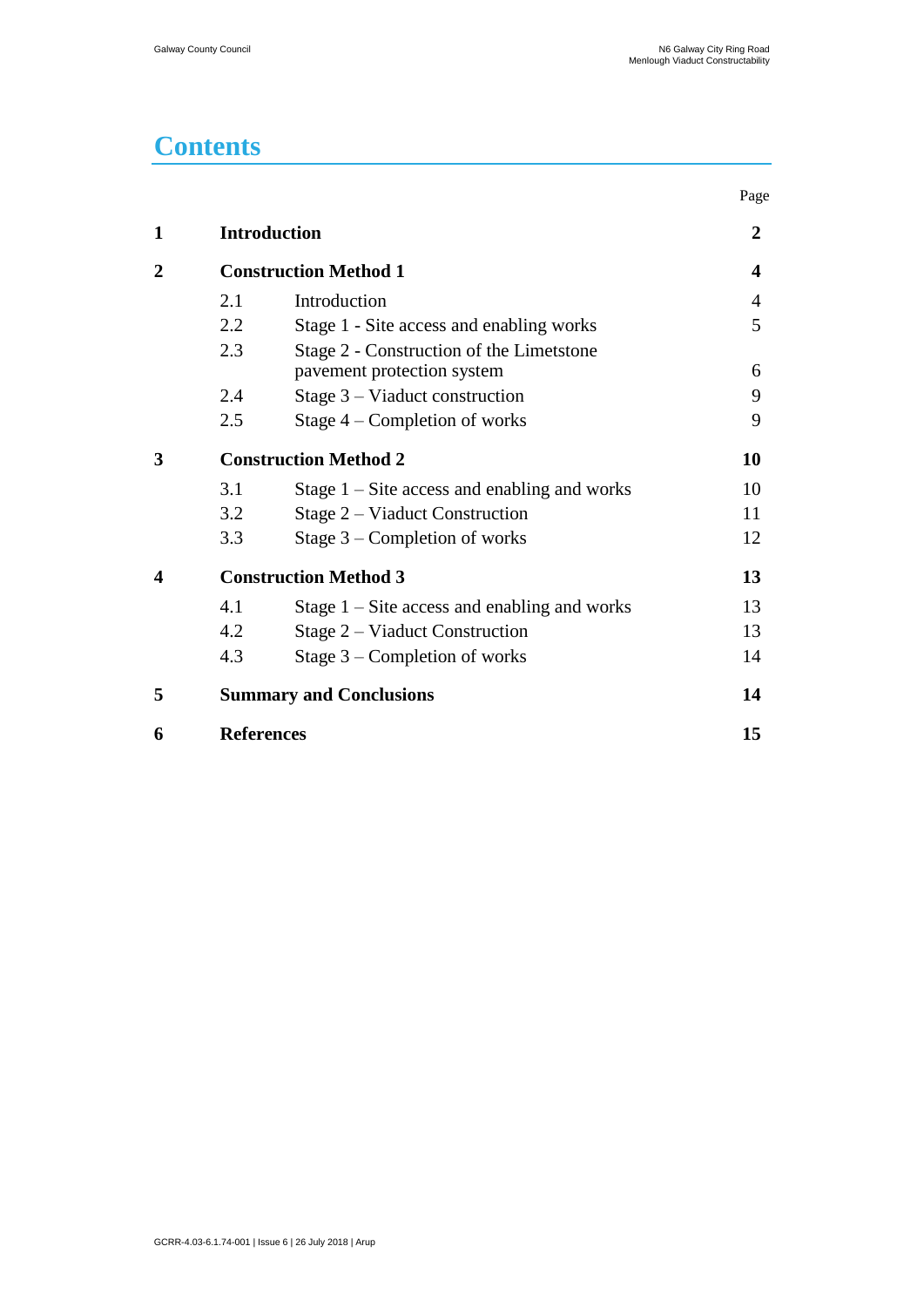# **Contents**

|                |                              |                                                                        | Page           |
|----------------|------------------------------|------------------------------------------------------------------------|----------------|
| 1              |                              | <b>Introduction</b>                                                    | $\overline{2}$ |
| $\overline{2}$ |                              | <b>Construction Method 1</b>                                           |                |
|                | 2.1                          | Introduction                                                           | 4              |
|                | 2.2                          | Stage 1 - Site access and enabling works                               | 5              |
|                | 2.3                          | Stage 2 - Construction of the Limetstone<br>pavement protection system | 6              |
|                | 2.4                          | Stage $3$ – Viaduct construction                                       | 9              |
|                | 2.5                          | Stage $4$ – Completion of works                                        | 9              |
| 3              | <b>Construction Method 2</b> |                                                                        | 10             |
|                | 3.1                          | Stage $1 -$ Site access and enabling and works                         | 10             |
|                | 3.2                          | Stage 2 – Viaduct Construction                                         | 11             |
|                | 3.3                          | Stage $3$ – Completion of works                                        | 12             |
| 4              | <b>Construction Method 3</b> |                                                                        | 13             |
|                | 4.1                          | Stage $1 -$ Site access and enabling and works                         | 13             |
|                | 4.2                          | Stage 2 – Viaduct Construction                                         | 13             |
|                | 4.3                          | Stage $3$ – Completion of works                                        | 14             |
| 5              |                              | <b>Summary and Conclusions</b>                                         | 14             |
| 6              | <b>References</b>            |                                                                        | 15             |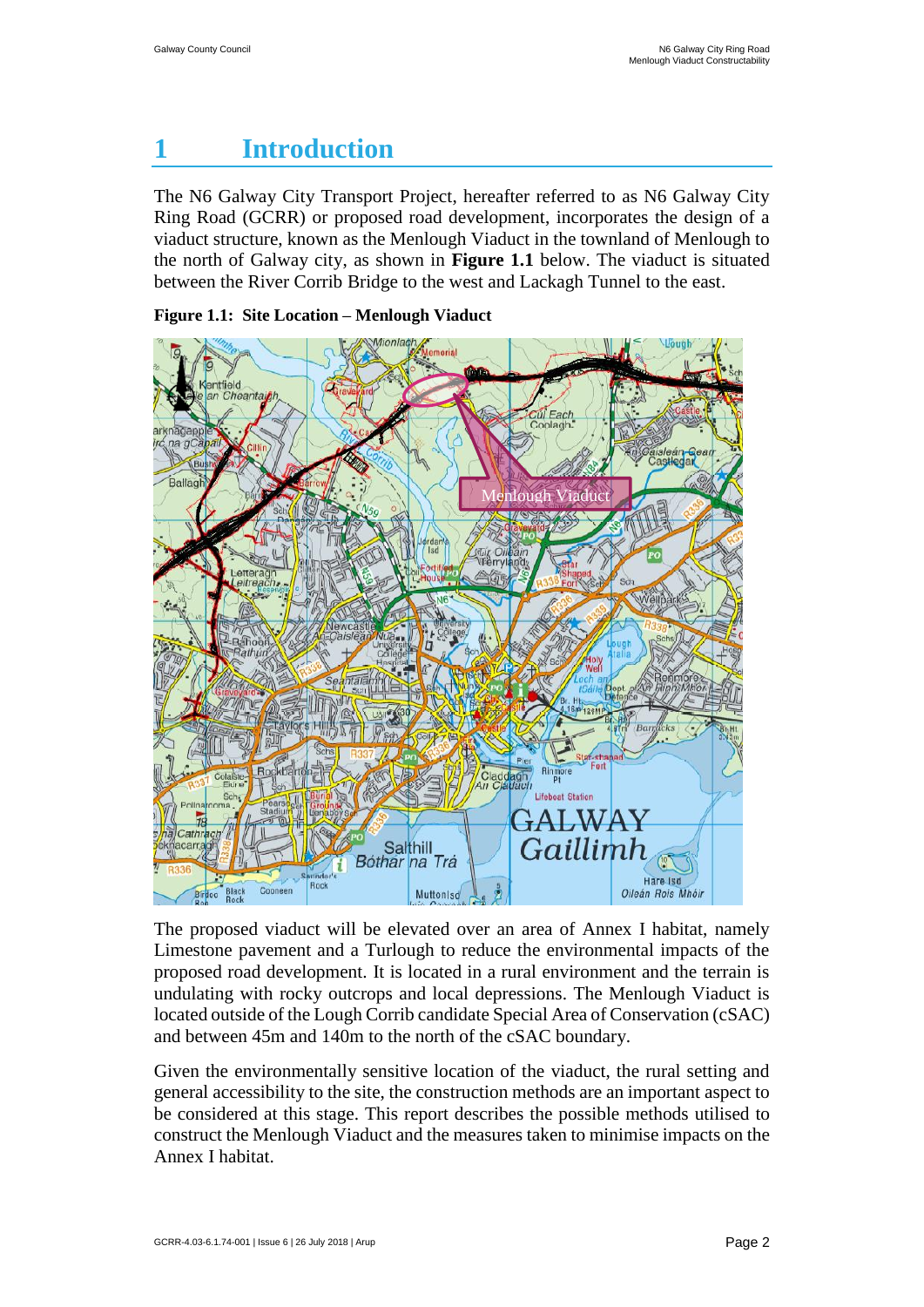# <span id="page-6-0"></span>**1 Introduction**

The N6 Galway City Transport Project, hereafter referred to as N6 Galway City Ring Road (GCRR) or proposed road development, incorporates the design of a viaduct structure, known as the Menlough Viaduct in the townland of Menlough to the north of Galway city, as shown in **Figure 1.1** below. The viaduct is situated between the River Corrib Bridge to the west and Lackagh Tunnel to the east.





The proposed viaduct will be elevated over an area of Annex I habitat, namely Limestone pavement and a Turlough to reduce the environmental impacts of the proposed road development. It is located in a rural environment and the terrain is undulating with rocky outcrops and local depressions. The Menlough Viaduct is located outside of the Lough Corrib candidate Special Area of Conservation (cSAC) and between 45m and 140m to the north of the cSAC boundary.

Given the environmentally sensitive location of the viaduct, the rural setting and general accessibility to the site, the construction methods are an important aspect to be considered at this stage. This report describes the possible methods utilised to construct the Menlough Viaduct and the measures taken to minimise impacts on the Annex I habitat.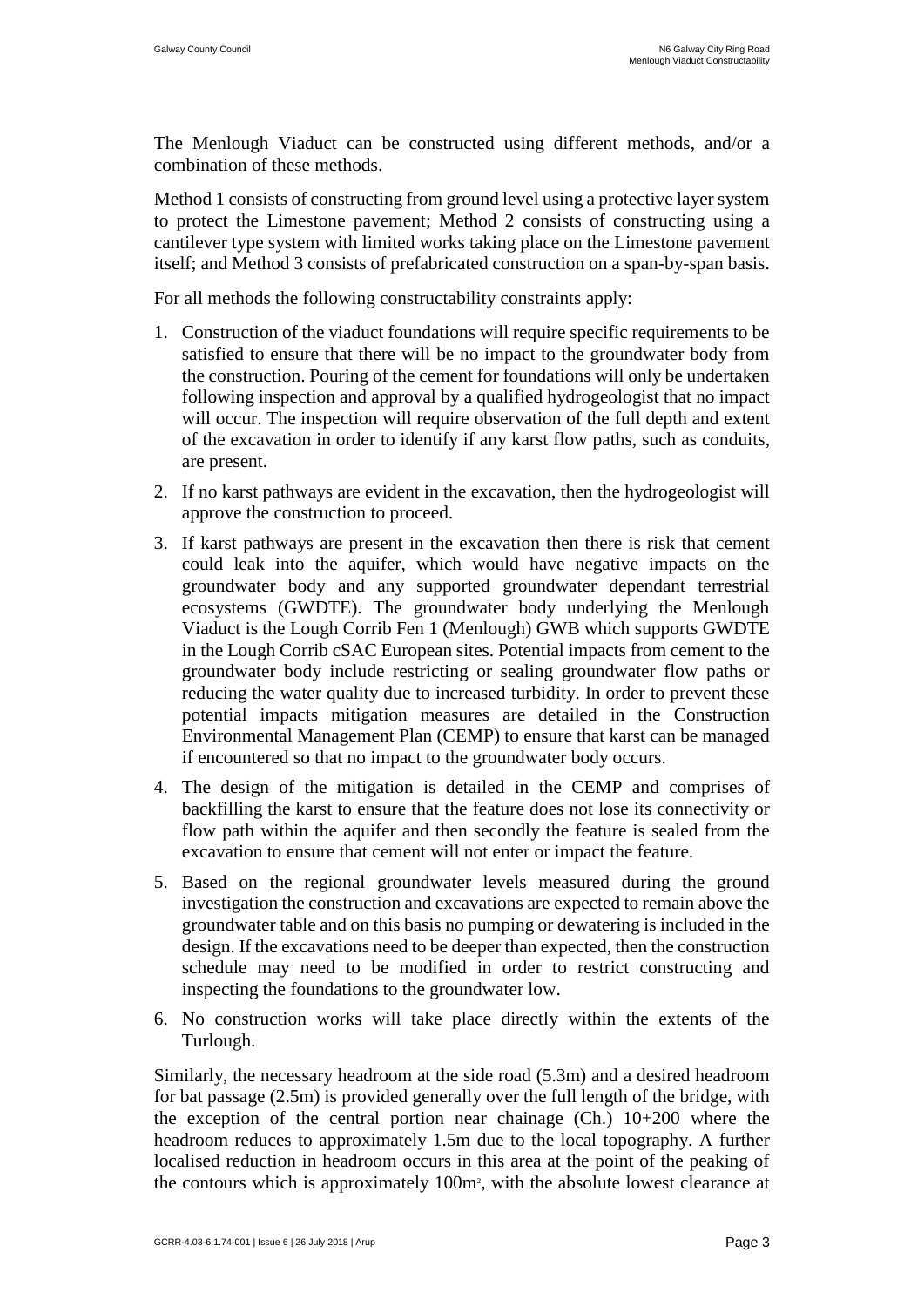The Menlough Viaduct can be constructed using different methods, and/or a combination of these methods.

Method 1 consists of constructing from ground level using a protective layer system to protect the Limestone pavement; Method 2 consists of constructing using a cantilever type system with limited works taking place on the Limestone pavement itself; and Method 3 consists of prefabricated construction on a span-by-span basis.

For all methods the following constructability constraints apply:

- 1. Construction of the viaduct foundations will require specific requirements to be satisfied to ensure that there will be no impact to the groundwater body from the construction. Pouring of the cement for foundations will only be undertaken following inspection and approval by a qualified hydrogeologist that no impact will occur. The inspection will require observation of the full depth and extent of the excavation in order to identify if any karst flow paths, such as conduits, are present.
- 2. If no karst pathways are evident in the excavation, then the hydrogeologist will approve the construction to proceed.
- 3. If karst pathways are present in the excavation then there is risk that cement could leak into the aquifer, which would have negative impacts on the groundwater body and any supported groundwater dependant terrestrial ecosystems (GWDTE). The groundwater body underlying the Menlough Viaduct is the Lough Corrib Fen 1 (Menlough) GWB which supports GWDTE in the Lough Corrib cSAC European sites. Potential impacts from cement to the groundwater body include restricting or sealing groundwater flow paths or reducing the water quality due to increased turbidity. In order to prevent these potential impacts mitigation measures are detailed in the Construction Environmental Management Plan (CEMP) to ensure that karst can be managed if encountered so that no impact to the groundwater body occurs.
- 4. The design of the mitigation is detailed in the CEMP and comprises of backfilling the karst to ensure that the feature does not lose its connectivity or flow path within the aquifer and then secondly the feature is sealed from the excavation to ensure that cement will not enter or impact the feature.
- 5. Based on the regional groundwater levels measured during the ground investigation the construction and excavations are expected to remain above the groundwater table and on this basis no pumping or dewatering is included in the design. If the excavations need to be deeper than expected, then the construction schedule may need to be modified in order to restrict constructing and inspecting the foundations to the groundwater low.
- 6. No construction works will take place directly within the extents of the Turlough.

Similarly, the necessary headroom at the side road (5.3m) and a desired headroom for bat passage (2.5m) is provided generally over the full length of the bridge, with the exception of the central portion near chainage  $(Ch.)$  10+200 where the headroom reduces to approximately 1.5m due to the local topography. A further localised reduction in headroom occurs in this area at the point of the peaking of the contours which is approximately 100m<sup>2</sup> , with the absolute lowest clearance at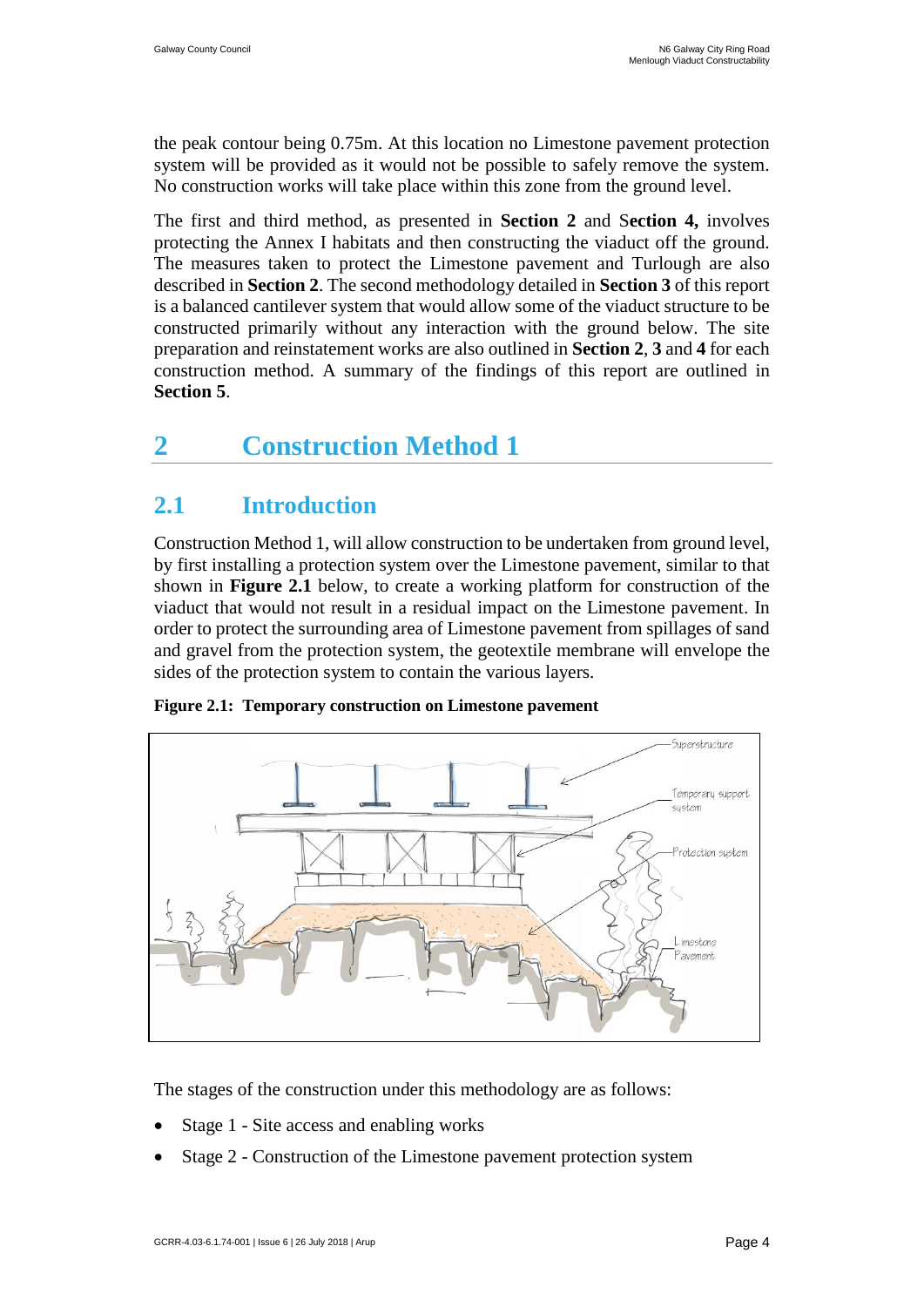the peak contour being 0.75m. At this location no Limestone pavement protection system will be provided as it would not be possible to safely remove the system. No construction works will take place within this zone from the ground level.

The first and third method, as presented in **Section 2** and S**ection 4,** involves protecting the Annex I habitats and then constructing the viaduct off the ground. The measures taken to protect the Limestone pavement and Turlough are also described in **Section 2**. The second methodology detailed in **Section 3** of this report is a balanced cantilever system that would allow some of the viaduct structure to be constructed primarily without any interaction with the ground below. The site preparation and reinstatement works are also outlined in **Section 2**, **3** and **4** for each construction method. A summary of the findings of this report are outlined in **Section 5**.

### <span id="page-8-0"></span>**2 Construction Method 1**

### <span id="page-8-1"></span>**2.1 Introduction**

Construction Method 1, will allow construction to be undertaken from ground level, by first installing a protection system over the Limestone pavement, similar to that shown in **Figure 2.1** below, to create a working platform for construction of the viaduct that would not result in a residual impact on the Limestone pavement. In order to protect the surrounding area of Limestone pavement from spillages of sand and gravel from the protection system, the geotextile membrane will envelope the sides of the protection system to contain the various layers.



**Figure 2.1: Temporary construction on Limestone pavement**

The stages of the construction under this methodology are as follows:

- Stage 1 Site access and enabling works
- Stage 2 Construction of the Limestone pavement protection system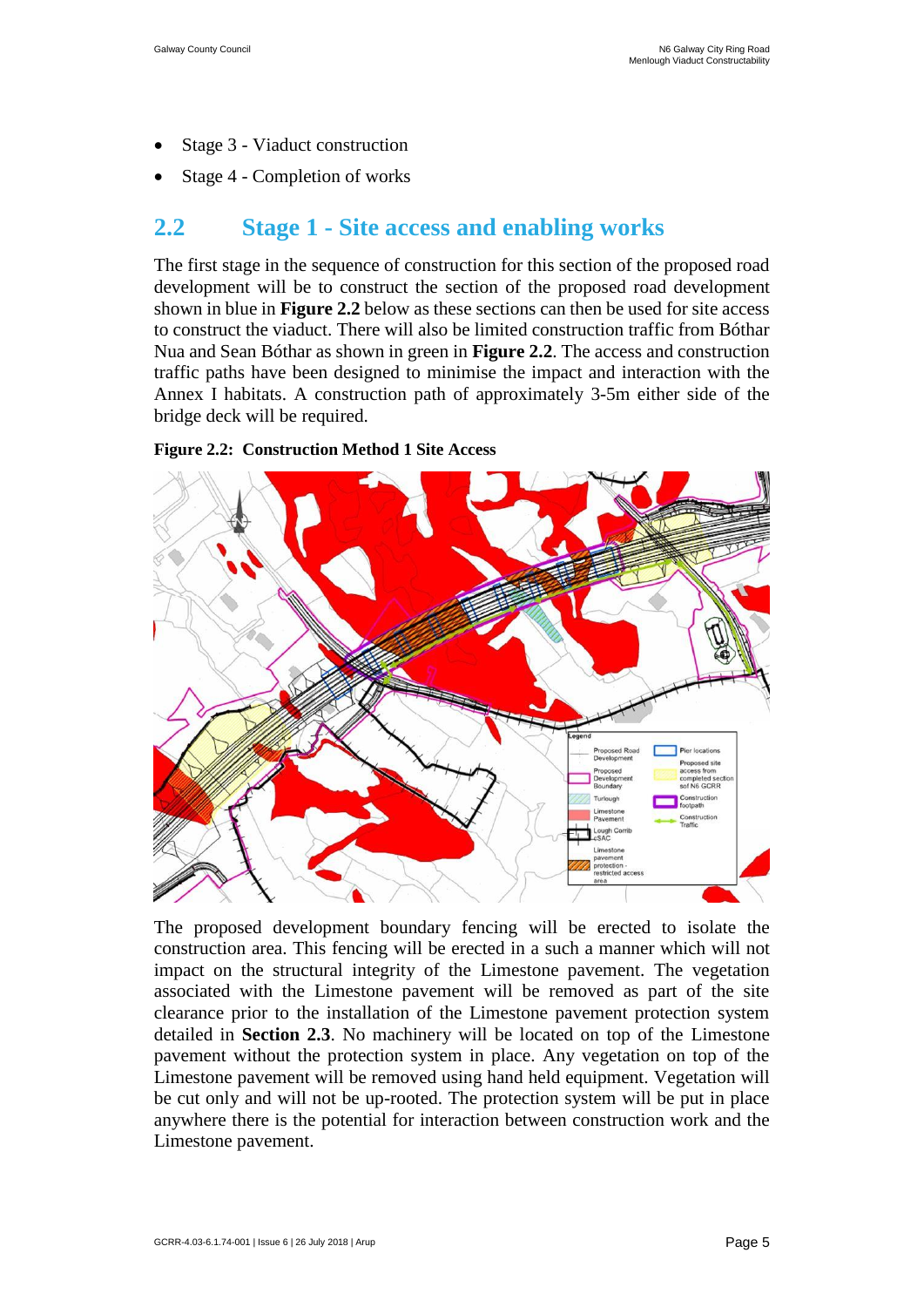- Stage 3 Viaduct construction
- Stage 4 Completion of works

### <span id="page-9-0"></span>**2.2 Stage 1 - Site access and enabling works**

The first stage in the sequence of construction for this section of the proposed road development will be to construct the section of the proposed road development shown in blue in **Figure 2.2** below as these sections can then be used for site access to construct the viaduct. There will also be limited construction traffic from Bóthar Nua and Sean Bóthar as shown in green in **Figure 2.2**. The access and construction traffic paths have been designed to minimise the impact and interaction with the Annex I habitats. A construction path of approximately 3-5m either side of the bridge deck will be required.





The proposed development boundary fencing will be erected to isolate the construction area. This fencing will be erected in a such a manner which will not impact on the structural integrity of the Limestone pavement. The vegetation associated with the Limestone pavement will be removed as part of the site clearance prior to the installation of the Limestone pavement protection system detailed in **Section 2.3**. No machinery will be located on top of the Limestone pavement without the protection system in place. Any vegetation on top of the Limestone pavement will be removed using hand held equipment. Vegetation will be cut only and will not be up-rooted. The protection system will be put in place anywhere there is the potential for interaction between construction work and the Limestone pavement.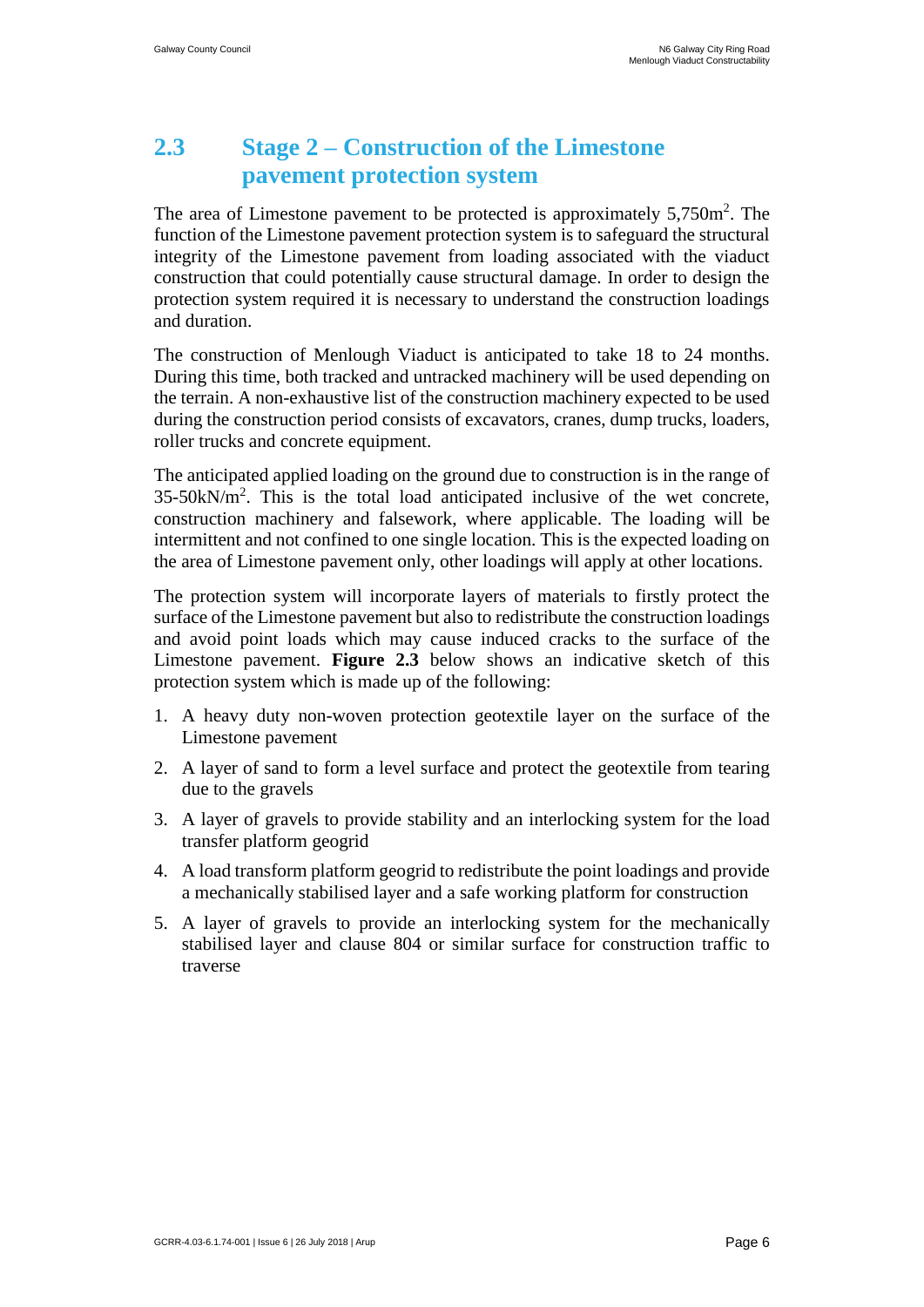### **2.3 Stage 2 – Construction of the Limestone pavement protection system**

<span id="page-10-0"></span>The area of Limestone pavement to be protected is approximately  $5,750m^2$ . The function of the Limestone pavement protection system is to safeguard the structural integrity of the Limestone pavement from loading associated with the viaduct construction that could potentially cause structural damage. In order to design the protection system required it is necessary to understand the construction loadings and duration.

The construction of Menlough Viaduct is anticipated to take 18 to 24 months. During this time, both tracked and untracked machinery will be used depending on the terrain. A non-exhaustive list of the construction machinery expected to be used during the construction period consists of excavators, cranes, dump trucks, loaders, roller trucks and concrete equipment.

The anticipated applied loading on the ground due to construction is in the range of 35-50kN/m<sup>2</sup> . This is the total load anticipated inclusive of the wet concrete, construction machinery and falsework, where applicable. The loading will be intermittent and not confined to one single location. This is the expected loading on the area of Limestone pavement only, other loadings will apply at other locations.

The protection system will incorporate layers of materials to firstly protect the surface of the Limestone pavement but also to redistribute the construction loadings and avoid point loads which may cause induced cracks to the surface of the Limestone pavement. **Figure 2.3** below shows an indicative sketch of this protection system which is made up of the following:

- 1. A heavy duty non-woven protection geotextile layer on the surface of the Limestone pavement
- 2. A layer of sand to form a level surface and protect the geotextile from tearing due to the gravels
- 3. A layer of gravels to provide stability and an interlocking system for the load transfer platform geogrid
- 4. A load transform platform geogrid to redistribute the point loadings and provide a mechanically stabilised layer and a safe working platform for construction
- 5. A layer of gravels to provide an interlocking system for the mechanically stabilised layer and clause 804 or similar surface for construction traffic to traverse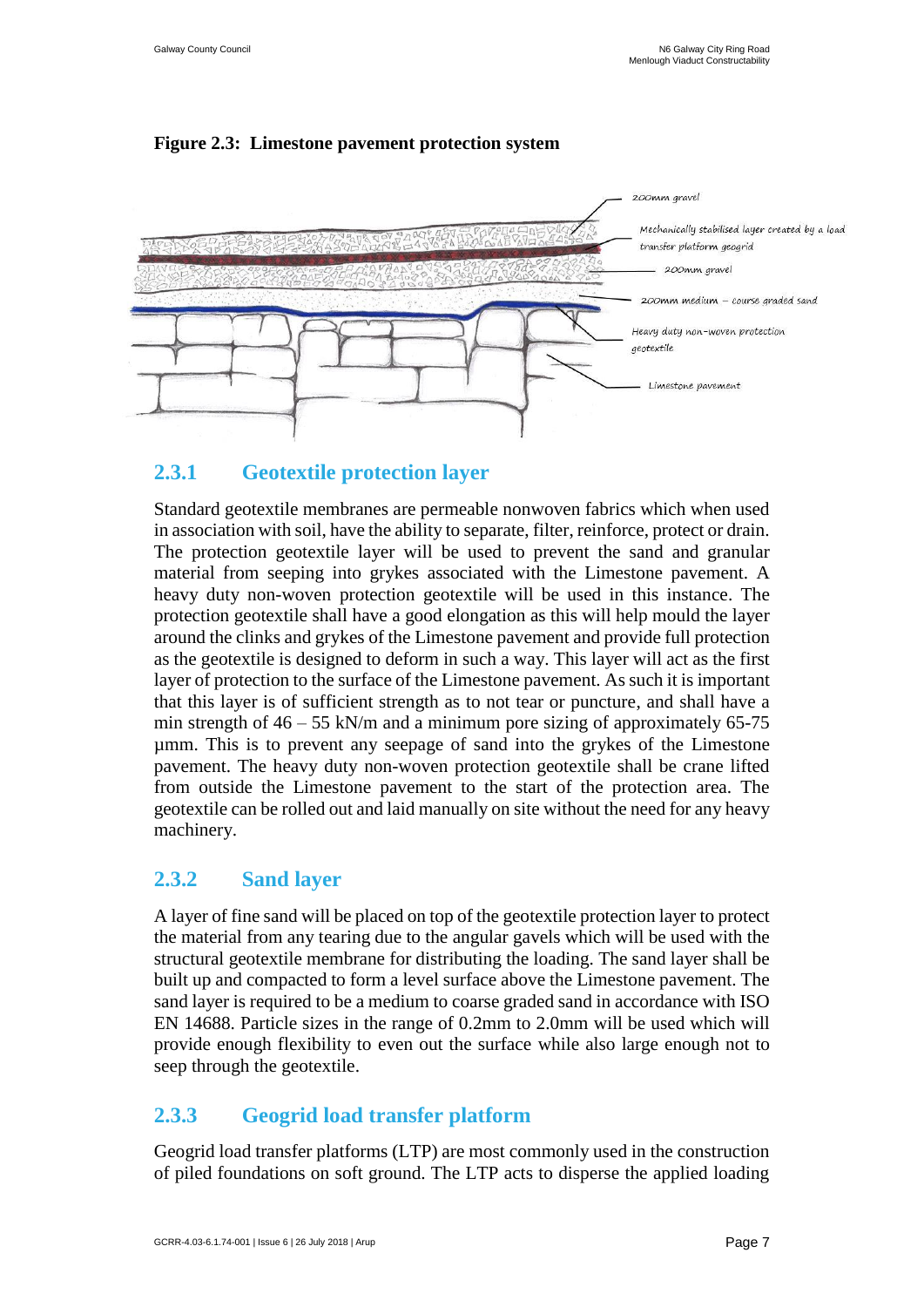

#### **Figure 2.3: Limestone pavement protection system**

#### **2.3.1 Geotextile protection layer**

Standard geotextile membranes are permeable nonwoven fabrics which when used in association with soil, have the ability to separate, filter, reinforce, protect or drain. The protection geotextile layer will be used to prevent the sand and granular material from seeping into grykes associated with the Limestone pavement. A heavy duty non-woven protection geotextile will be used in this instance. The protection geotextile shall have a good elongation as this will help mould the layer around the clinks and grykes of the Limestone pavement and provide full protection as the geotextile is designed to deform in such a way. This layer will act as the first layer of protection to the surface of the Limestone pavement. As such it is important that this layer is of sufficient strength as to not tear or puncture, and shall have a min strength of  $46 - 55$  kN/m and a minimum pore sizing of approximately 65-75 µmm. This is to prevent any seepage of sand into the grykes of the Limestone pavement. The heavy duty non-woven protection geotextile shall be crane lifted from outside the Limestone pavement to the start of the protection area. The geotextile can be rolled out and laid manually on site without the need for any heavy machinery.

#### **2.3.2 Sand layer**

A layer of fine sand will be placed on top of the geotextile protection layer to protect the material from any tearing due to the angular gavels which will be used with the structural geotextile membrane for distributing the loading. The sand layer shall be built up and compacted to form a level surface above the Limestone pavement. The sand layer is required to be a medium to coarse graded sand in accordance with ISO EN 14688. Particle sizes in the range of 0.2mm to 2.0mm will be used which will provide enough flexibility to even out the surface while also large enough not to seep through the geotextile.

#### **2.3.3 Geogrid load transfer platform**

Geogrid load transfer platforms (LTP) are most commonly used in the construction of piled foundations on soft ground. The LTP acts to disperse the applied loading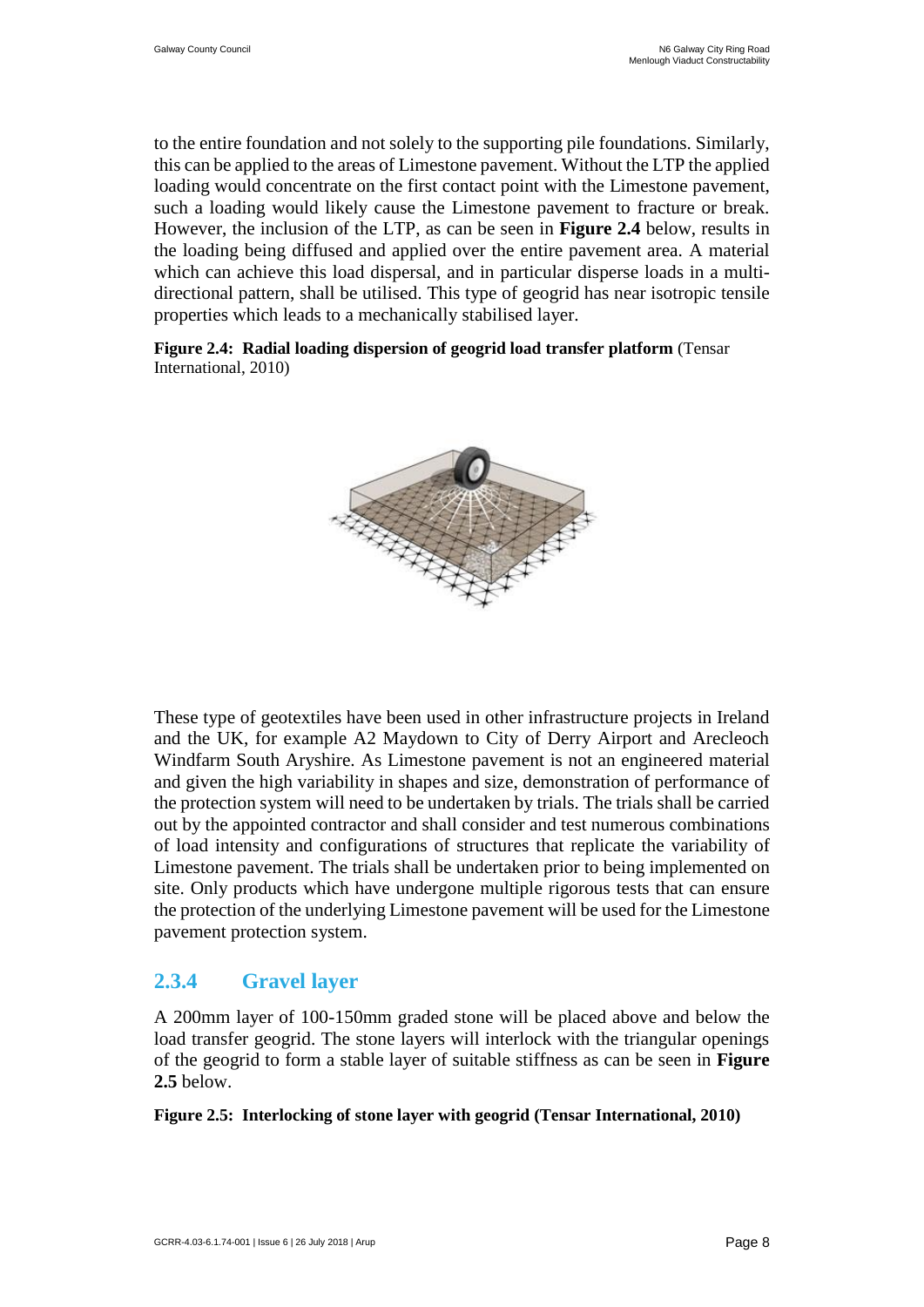to the entire foundation and not solely to the supporting pile foundations. Similarly, this can be applied to the areas of Limestone pavement. Without the LTP the applied loading would concentrate on the first contact point with the Limestone pavement, such a loading would likely cause the Limestone pavement to fracture or break. However, the inclusion of the LTP, as can be seen in **Figure 2.4** below, results in the loading being diffused and applied over the entire pavement area. A material which can achieve this load dispersal, and in particular disperse loads in a multidirectional pattern, shall be utilised. This type of geogrid has near isotropic tensile properties which leads to a mechanically stabilised layer.

**Figure 2.4: Radial loading dispersion of geogrid load transfer platform** (Tensar International, 2010)



These type of geotextiles have been used in other infrastructure projects in Ireland and the UK, for example A2 Maydown to City of Derry Airport and Arecleoch Windfarm South Aryshire. As Limestone pavement is not an engineered material and given the high variability in shapes and size, demonstration of performance of the protection system will need to be undertaken by trials. The trials shall be carried out by the appointed contractor and shall consider and test numerous combinations of load intensity and configurations of structures that replicate the variability of Limestone pavement. The trials shall be undertaken prior to being implemented on site. Only products which have undergone multiple rigorous tests that can ensure the protection of the underlying Limestone pavement will be used for the Limestone pavement protection system.

#### **2.3.4 Gravel layer**

A 200mm layer of 100-150mm graded stone will be placed above and below the load transfer geogrid. The stone layers will interlock with the triangular openings of the geogrid to form a stable layer of suitable stiffness as can be seen in **Figure 2.5** below.

#### **Figure 2.5: Interlocking of stone layer with geogrid (Tensar International, 2010)**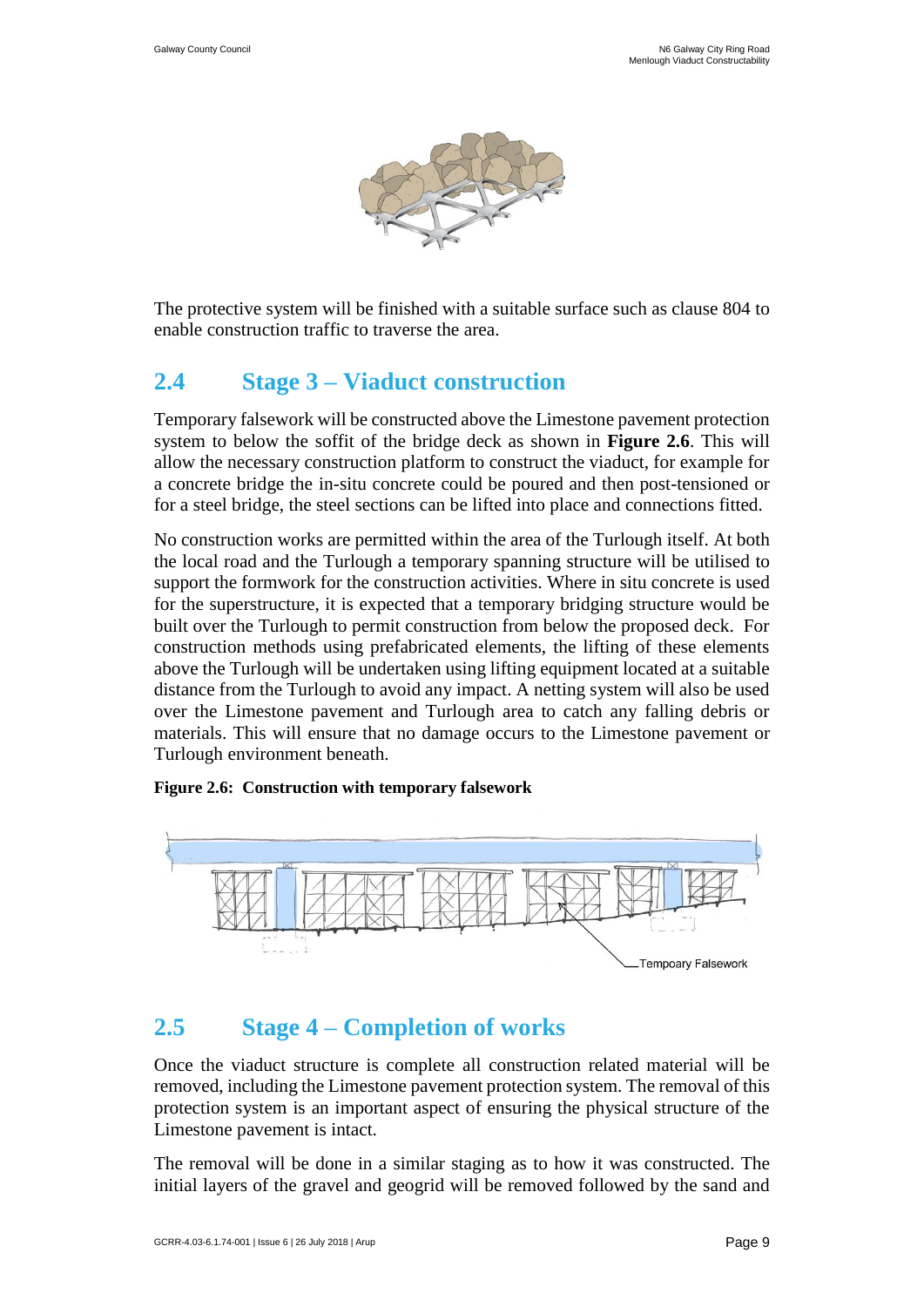

The protective system will be finished with a suitable surface such as clause 804 to enable construction traffic to traverse the area.

### <span id="page-13-0"></span>**2.4 Stage 3 – Viaduct construction**

Temporary falsework will be constructed above the Limestone pavement protection system to below the soffit of the bridge deck as shown in **Figure 2.6**. This will allow the necessary construction platform to construct the viaduct, for example for a concrete bridge the in-situ concrete could be poured and then post-tensioned or for a steel bridge, the steel sections can be lifted into place and connections fitted.

No construction works are permitted within the area of the Turlough itself. At both the local road and the Turlough a temporary spanning structure will be utilised to support the formwork for the construction activities. Where in situ concrete is used for the superstructure, it is expected that a temporary bridging structure would be built over the Turlough to permit construction from below the proposed deck. For construction methods using prefabricated elements, the lifting of these elements above the Turlough will be undertaken using lifting equipment located at a suitable distance from the Turlough to avoid any impact. A netting system will also be used over the Limestone pavement and Turlough area to catch any falling debris or materials. This will ensure that no damage occurs to the Limestone pavement or Turlough environment beneath.

**Figure 2.6: Construction with temporary falsework**



### <span id="page-13-1"></span>**2.5 Stage 4 – Completion of works**

Once the viaduct structure is complete all construction related material will be removed, including the Limestone pavement protection system. The removal of this protection system is an important aspect of ensuring the physical structure of the Limestone pavement is intact.

The removal will be done in a similar staging as to how it was constructed. The initial layers of the gravel and geogrid will be removed followed by the sand and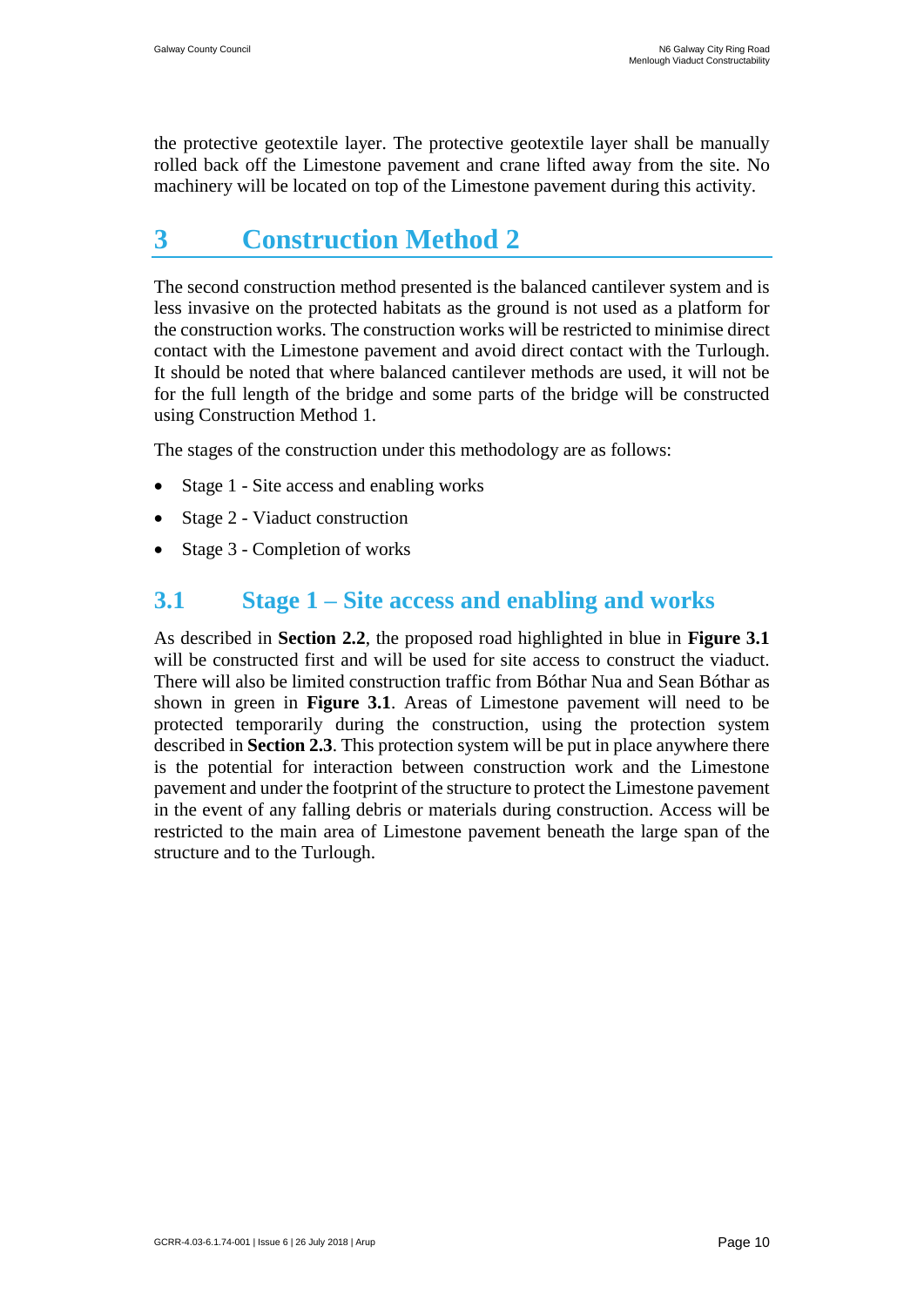the protective geotextile layer. The protective geotextile layer shall be manually rolled back off the Limestone pavement and crane lifted away from the site. No machinery will be located on top of the Limestone pavement during this activity.

### <span id="page-14-0"></span>**3 Construction Method 2**

The second construction method presented is the balanced cantilever system and is less invasive on the protected habitats as the ground is not used as a platform for the construction works. The construction works will be restricted to minimise direct contact with the Limestone pavement and avoid direct contact with the Turlough. It should be noted that where balanced cantilever methods are used, it will not be for the full length of the bridge and some parts of the bridge will be constructed using Construction Method 1.

The stages of the construction under this methodology are as follows:

- Stage 1 Site access and enabling works
- Stage 2 Viaduct construction
- Stage 3 Completion of works

### <span id="page-14-1"></span>**3.1 Stage 1 – Site access and enabling and works**

As described in **Section 2.2**, the proposed road highlighted in blue in **Figure 3.1** will be constructed first and will be used for site access to construct the viaduct. There will also be limited construction traffic from Bóthar Nua and Sean Bóthar as shown in green in **Figure 3.1**. Areas of Limestone pavement will need to be protected temporarily during the construction, using the protection system described in **Section 2.3**. This protection system will be put in place anywhere there is the potential for interaction between construction work and the Limestone pavement and under the footprint of the structure to protect the Limestone pavement in the event of any falling debris or materials during construction. Access will be restricted to the main area of Limestone pavement beneath the large span of the structure and to the Turlough.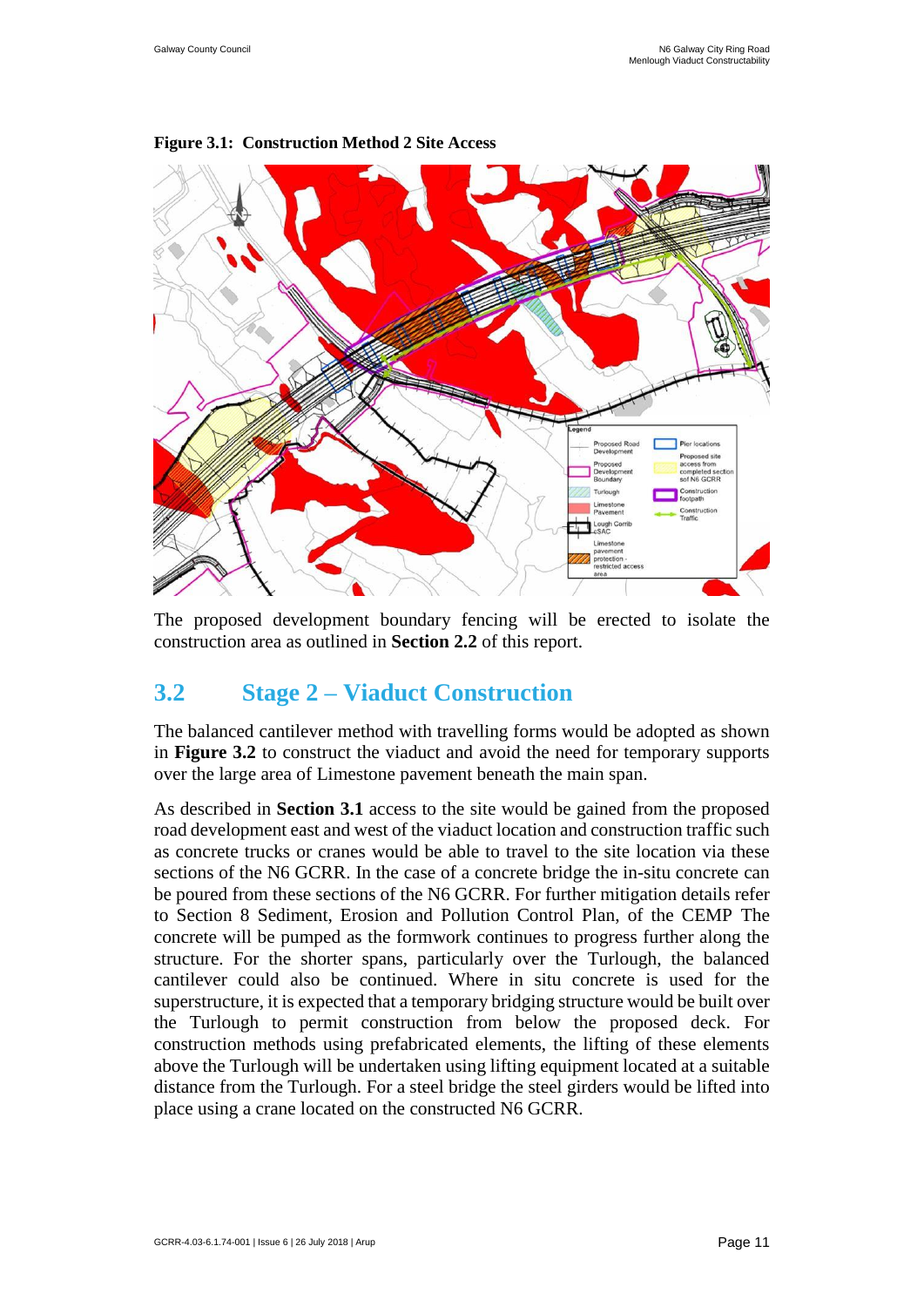

#### **Figure 3.1: Construction Method 2 Site Access**

The proposed development boundary fencing will be erected to isolate the construction area as outlined in **Section 2.2** of this report.

### <span id="page-15-0"></span>**3.2 Stage 2 – Viaduct Construction**

The balanced cantilever method with travelling forms would be adopted as shown in **Figure 3.2** to construct the viaduct and avoid the need for temporary supports over the large area of Limestone pavement beneath the main span.

As described in **Section 3.1** access to the site would be gained from the proposed road development east and west of the viaduct location and construction traffic such as concrete trucks or cranes would be able to travel to the site location via these sections of the N6 GCRR. In the case of a concrete bridge the in-situ concrete can be poured from these sections of the N6 GCRR. For further mitigation details refer to Section 8 Sediment, Erosion and Pollution Control Plan, of the CEMP The concrete will be pumped as the formwork continues to progress further along the structure. For the shorter spans, particularly over the Turlough, the balanced cantilever could also be continued. Where in situ concrete is used for the superstructure, it is expected that a temporary bridging structure would be built over the Turlough to permit construction from below the proposed deck. For construction methods using prefabricated elements, the lifting of these elements above the Turlough will be undertaken using lifting equipment located at a suitable distance from the Turlough. For a steel bridge the steel girders would be lifted into place using a crane located on the constructed N6 GCRR.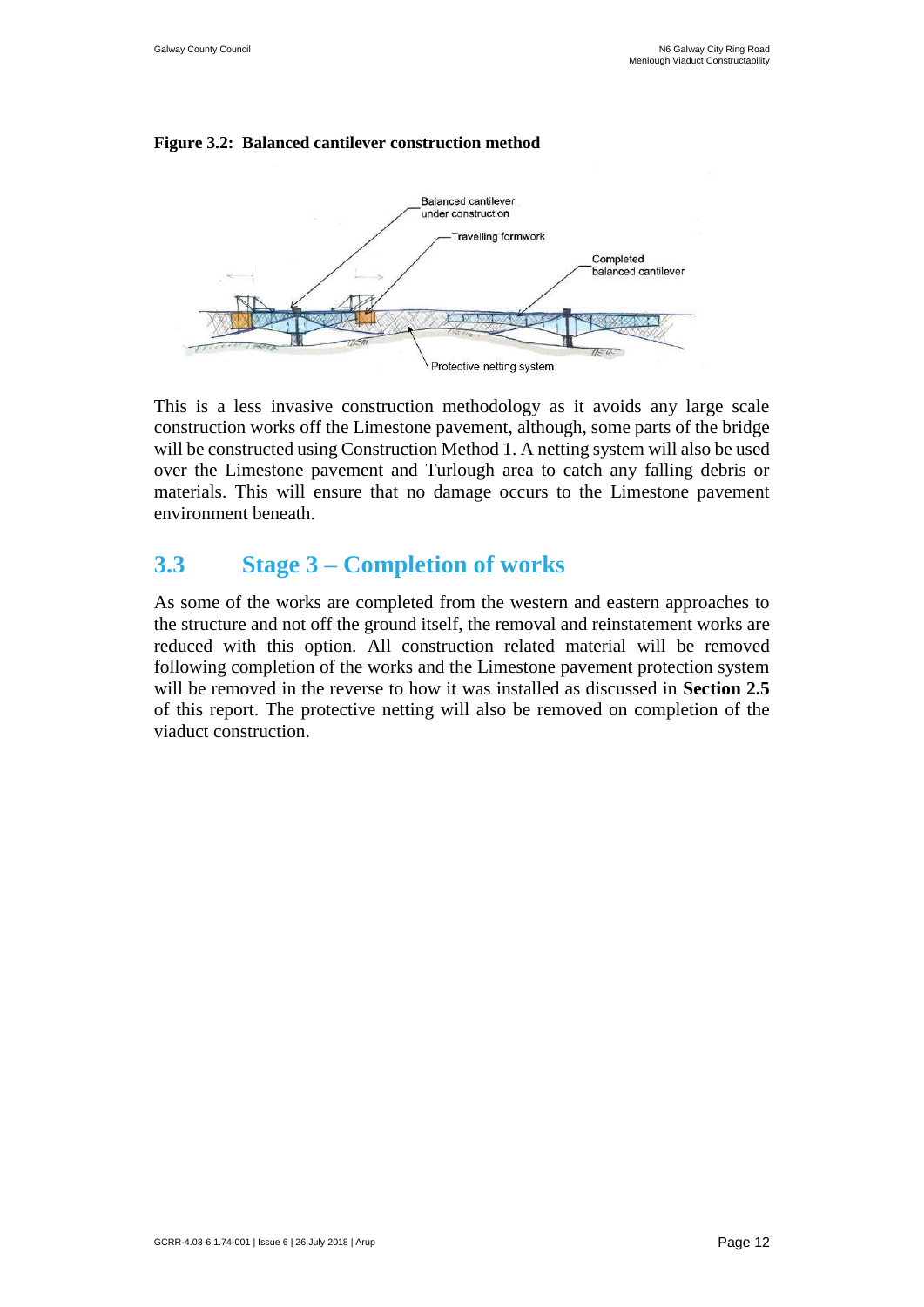#### **Figure 3.2: Balanced cantilever construction method**



This is a less invasive construction methodology as it avoids any large scale construction works off the Limestone pavement, although, some parts of the bridge will be constructed using Construction Method 1. A netting system will also be used over the Limestone pavement and Turlough area to catch any falling debris or materials. This will ensure that no damage occurs to the Limestone pavement environment beneath.

### <span id="page-16-0"></span>**3.3 Stage 3 – Completion of works**

As some of the works are completed from the western and eastern approaches to the structure and not off the ground itself, the removal and reinstatement works are reduced with this option. All construction related material will be removed following completion of the works and the Limestone pavement protection system will be removed in the reverse to how it was installed as discussed in **Section 2.5** of this report. The protective netting will also be removed on completion of the viaduct construction.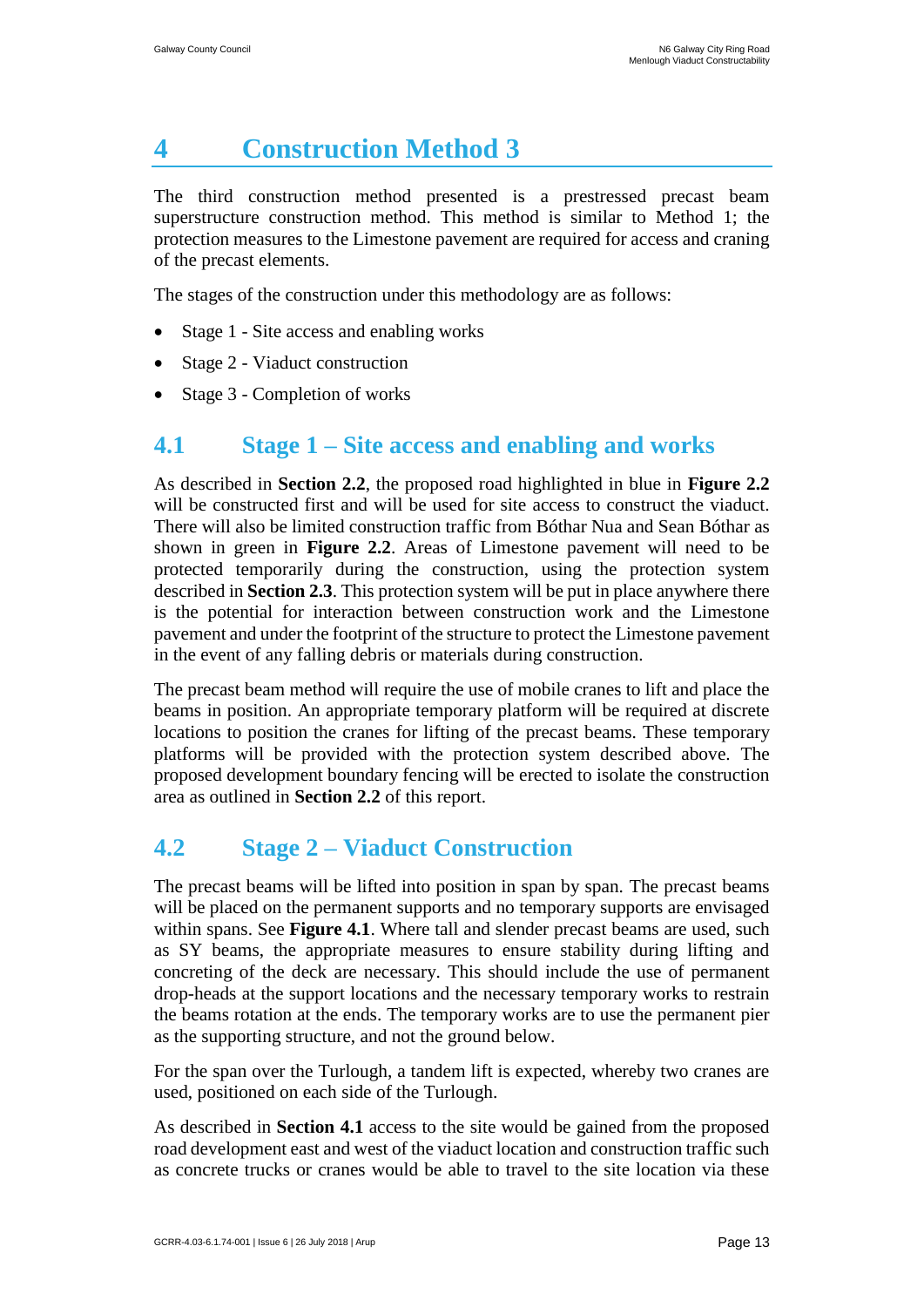# <span id="page-17-0"></span>**4 Construction Method 3**

The third construction method presented is a prestressed precast beam superstructure construction method. This method is similar to Method 1; the protection measures to the Limestone pavement are required for access and craning of the precast elements.

The stages of the construction under this methodology are as follows:

- Stage 1 Site access and enabling works
- Stage 2 Viaduct construction
- Stage 3 Completion of works

### <span id="page-17-1"></span>**4.1 Stage 1 – Site access and enabling and works**

As described in **Section 2.2**, the proposed road highlighted in blue in **Figure 2.2** will be constructed first and will be used for site access to construct the viaduct. There will also be limited construction traffic from Bóthar Nua and Sean Bóthar as shown in green in **Figure 2.2**. Areas of Limestone pavement will need to be protected temporarily during the construction, using the protection system described in **Section 2.3**. This protection system will be put in place anywhere there is the potential for interaction between construction work and the Limestone pavement and under the footprint of the structure to protect the Limestone pavement in the event of any falling debris or materials during construction.

The precast beam method will require the use of mobile cranes to lift and place the beams in position. An appropriate temporary platform will be required at discrete locations to position the cranes for lifting of the precast beams. These temporary platforms will be provided with the protection system described above. The proposed development boundary fencing will be erected to isolate the construction area as outlined in **Section 2.2** of this report.

### <span id="page-17-2"></span>**4.2 Stage 2 – Viaduct Construction**

The precast beams will be lifted into position in span by span. The precast beams will be placed on the permanent supports and no temporary supports are envisaged within spans. See **Figure 4.1**. Where tall and slender precast beams are used, such as SY beams, the appropriate measures to ensure stability during lifting and concreting of the deck are necessary. This should include the use of permanent drop-heads at the support locations and the necessary temporary works to restrain the beams rotation at the ends. The temporary works are to use the permanent pier as the supporting structure, and not the ground below.

For the span over the Turlough, a tandem lift is expected, whereby two cranes are used, positioned on each side of the Turlough.

As described in **Section 4.1** access to the site would be gained from the proposed road development east and west of the viaduct location and construction traffic such as concrete trucks or cranes would be able to travel to the site location via these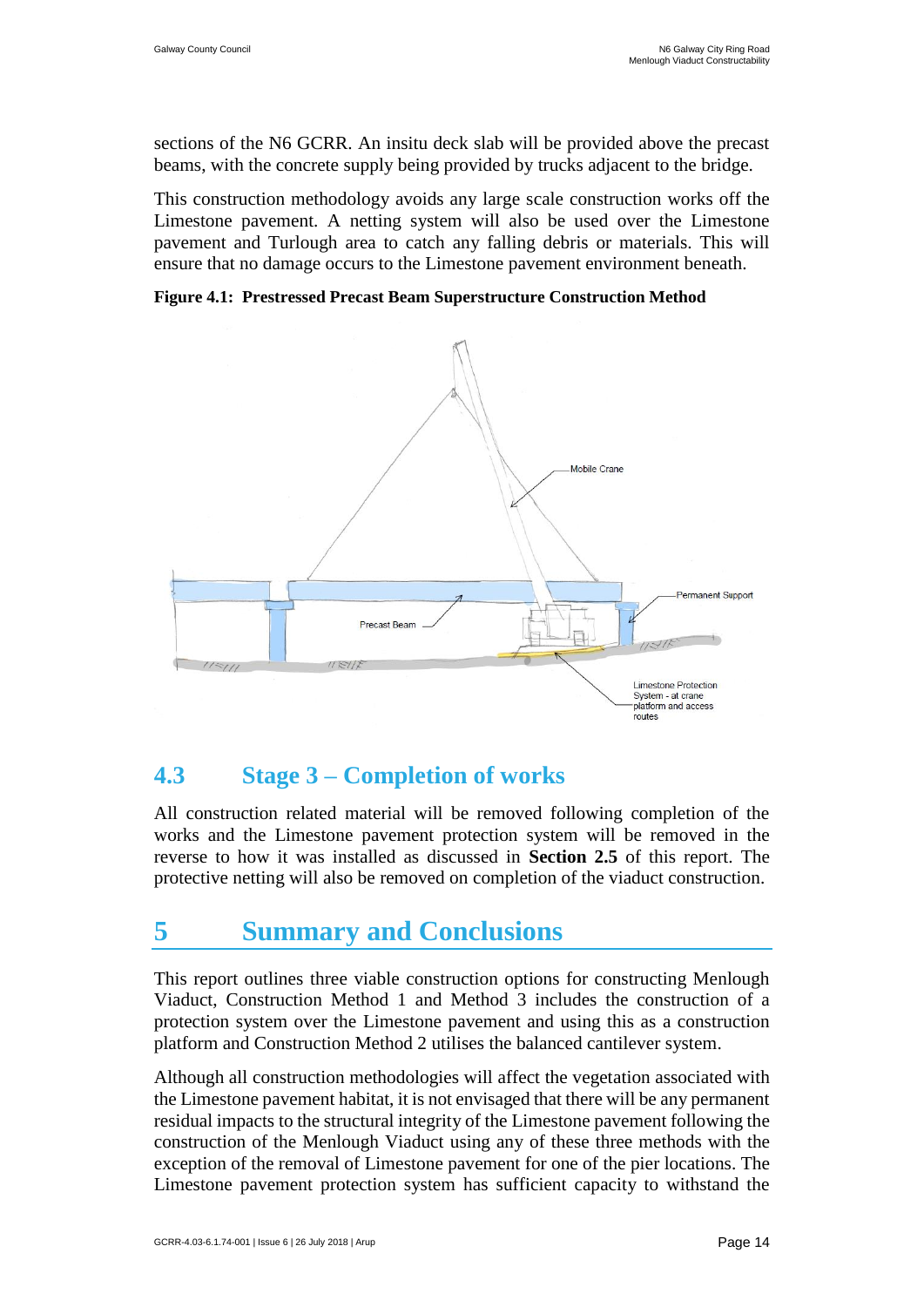sections of the N6 GCRR. An insitu deck slab will be provided above the precast beams, with the concrete supply being provided by trucks adjacent to the bridge.

This construction methodology avoids any large scale construction works off the Limestone pavement. A netting system will also be used over the Limestone pavement and Turlough area to catch any falling debris or materials. This will ensure that no damage occurs to the Limestone pavement environment beneath.

**Figure 4.1: Prestressed Precast Beam Superstructure Construction Method**



### <span id="page-18-0"></span>**4.3 Stage 3 – Completion of works**

All construction related material will be removed following completion of the works and the Limestone pavement protection system will be removed in the reverse to how it was installed as discussed in **Section 2.5** of this report. The protective netting will also be removed on completion of the viaduct construction.

# <span id="page-18-1"></span>**5 Summary and Conclusions**

This report outlines three viable construction options for constructing Menlough Viaduct, Construction Method 1 and Method 3 includes the construction of a protection system over the Limestone pavement and using this as a construction platform and Construction Method 2 utilises the balanced cantilever system.

Although all construction methodologies will affect the vegetation associated with the Limestone pavement habitat, it is not envisaged that there will be any permanent residual impacts to the structural integrity of the Limestone pavement following the construction of the Menlough Viaduct using any of these three methods with the exception of the removal of Limestone pavement for one of the pier locations. The Limestone pavement protection system has sufficient capacity to withstand the